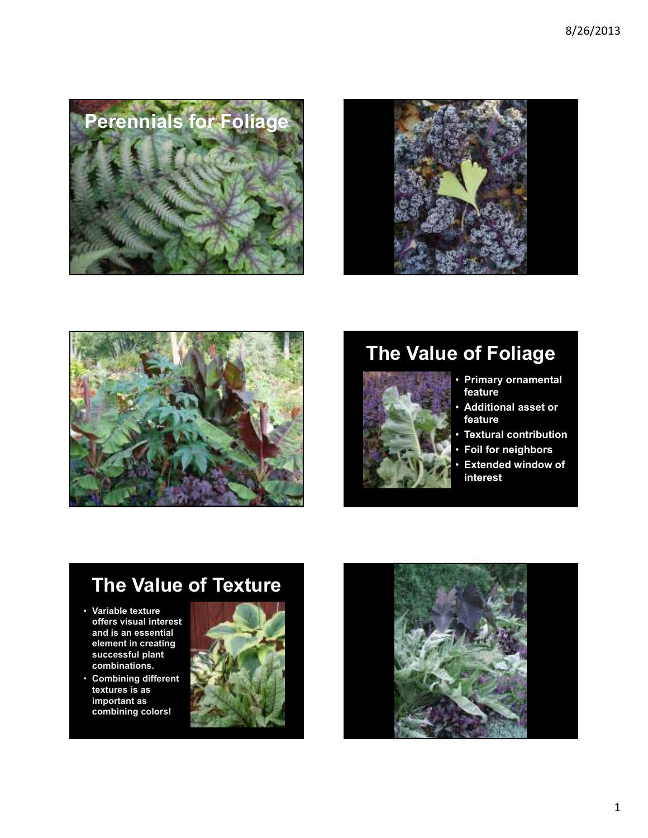





# **The Value of Foliage**



- **Primary ornamental feature**
- **Additional asset or feature**
- **Textural contribution**
- **Foil for neighbors**
- **Extended window of interest**

## **The Value of Texture**

- **Variable texture offers visual interest and is an essential element in creating successful plant combinations.**
- **Combining different textures is as important as combining colors!**



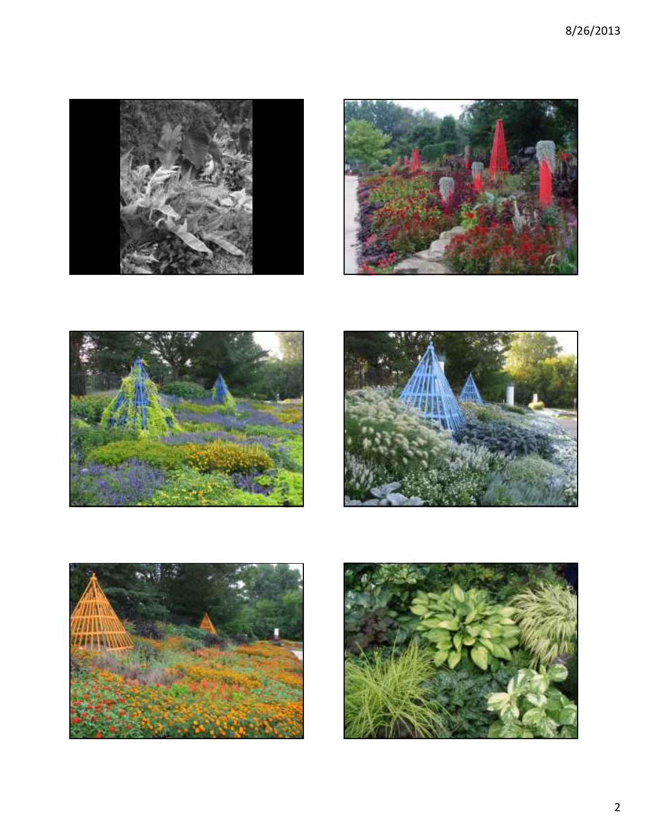









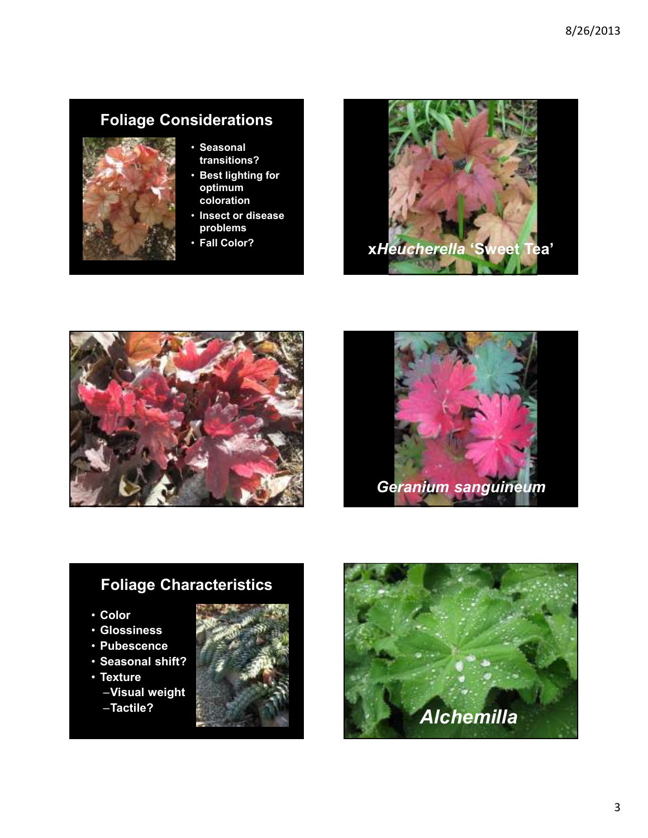### **Foliage Considerations**



#### • **Seasonal transitions?**

- **Best lighting for optimum coloration**
- **Insect or disease problems**
- 







#### **Foliage Characteristics**

- **Color**
- **Glossiness**
- **Pubescence**
- **Seasonal shift?**
- **Texture**
	- –**Visual weight**
	-



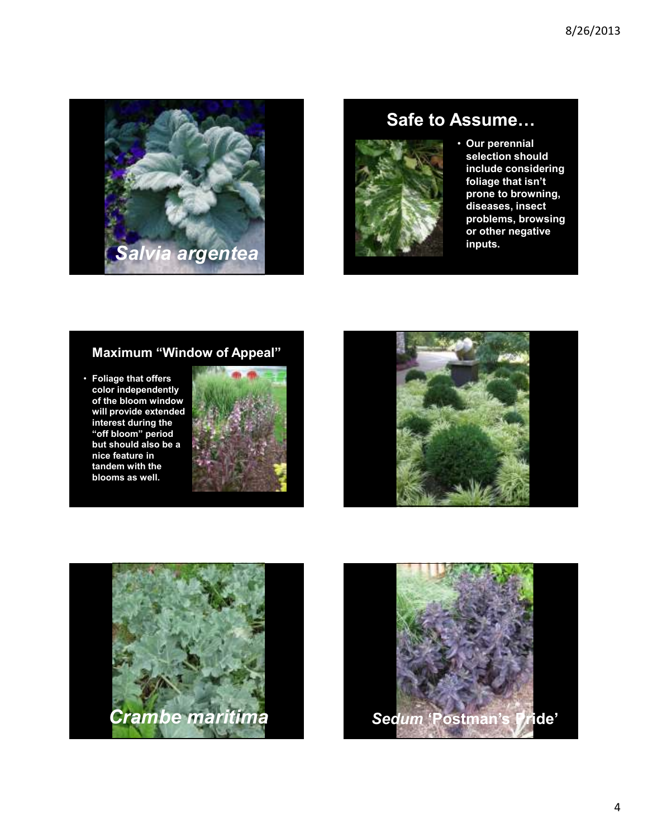

### **Safe to Assume...**



#### • **Our perennial selection should include considering foliage that isn't prone to browning, diseases, insect problems, browsing or other negative inputs.**

#### **Maximum "Window of Appeal"**

• **Foliage that offers color independently of the bloom window will provide extended interest during the "off bloom" period but should also be a nice feature in tandem with the blooms as well.**







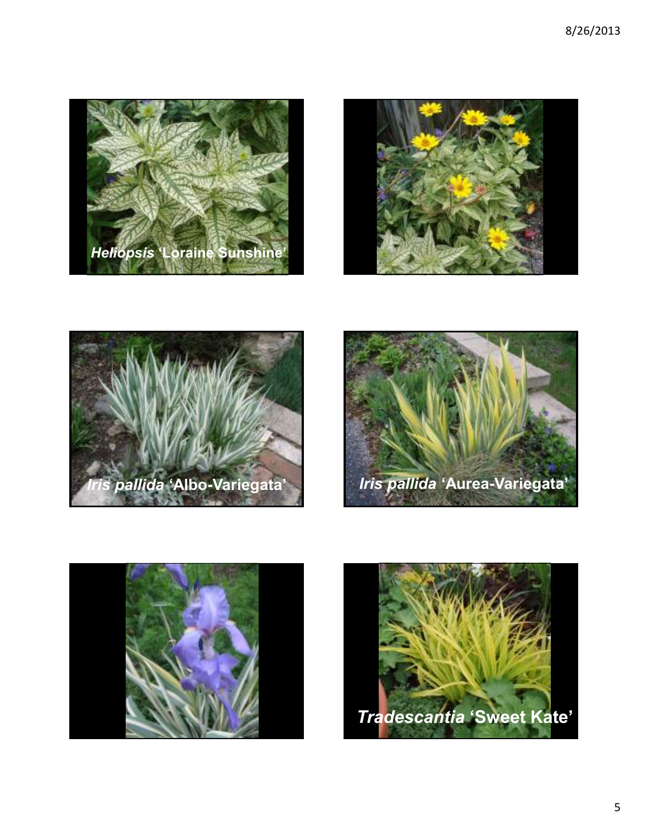









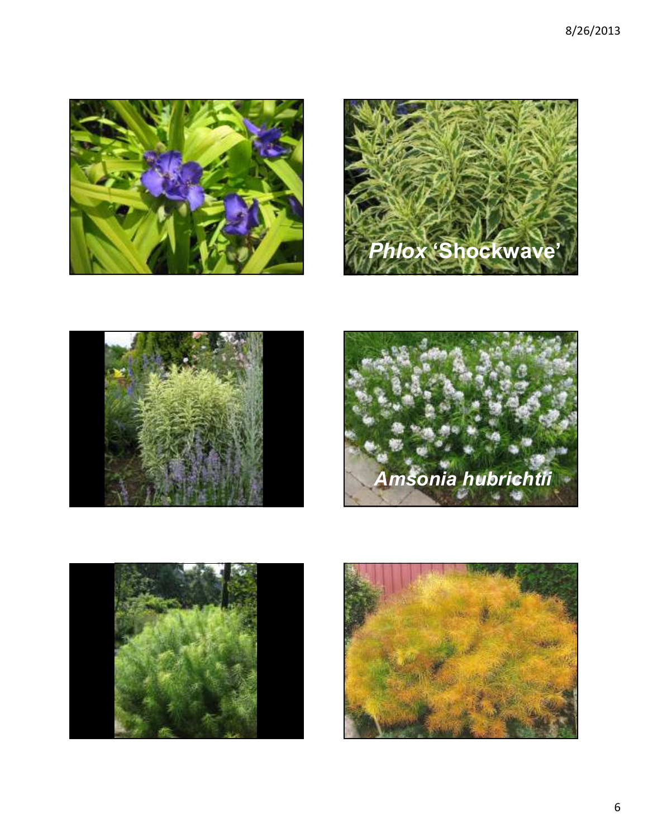









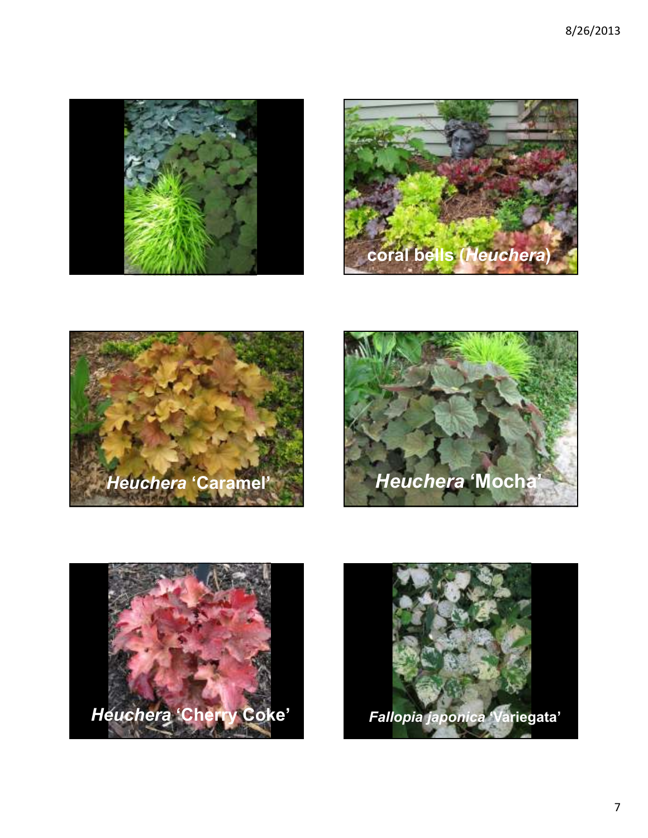









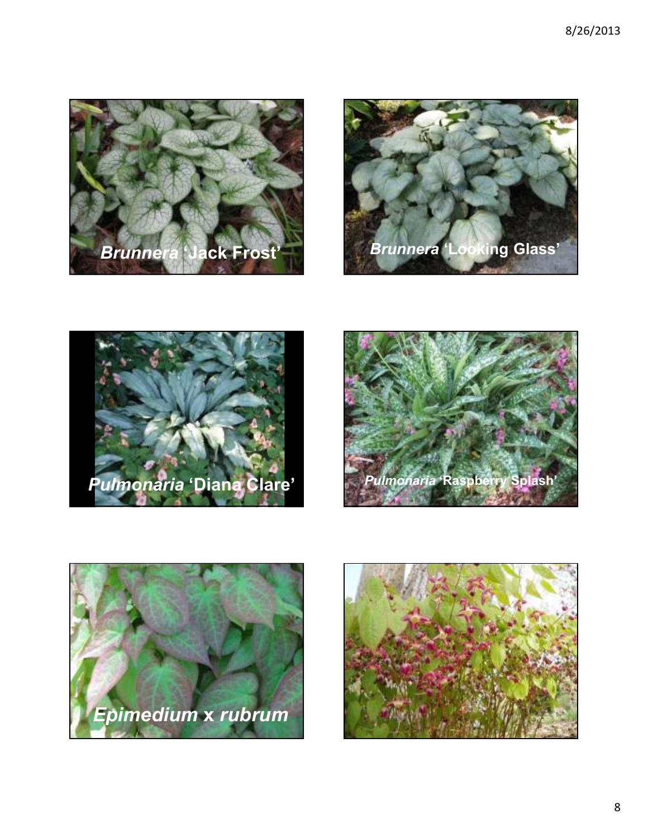









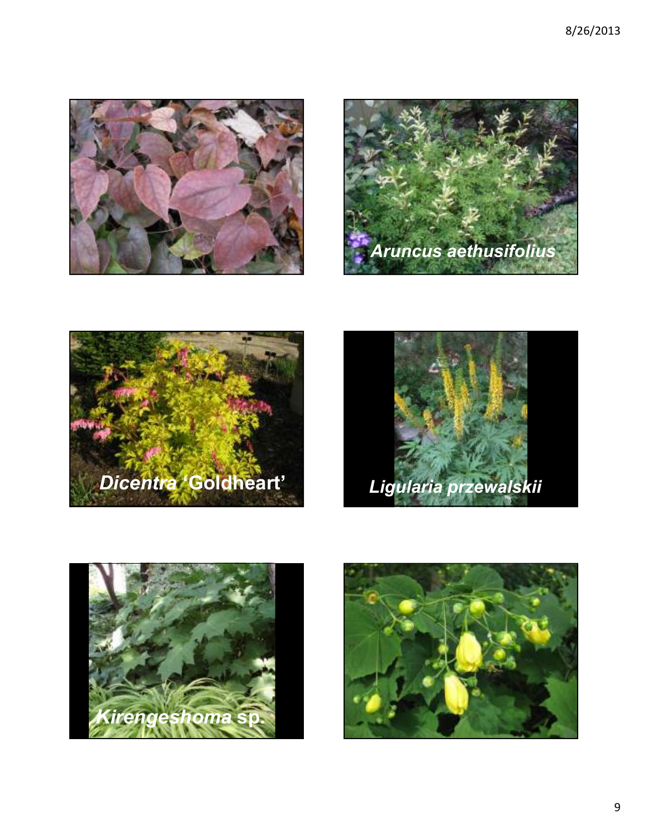









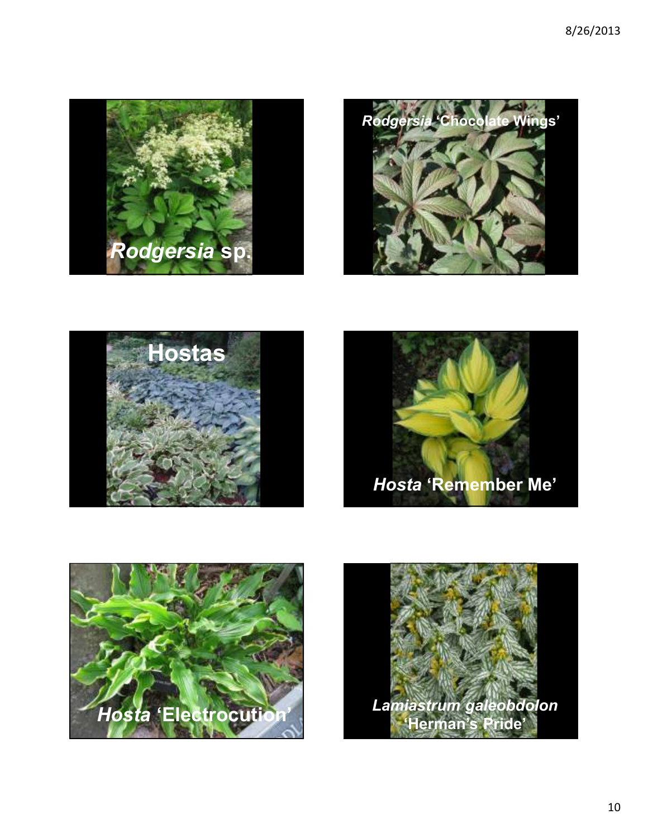









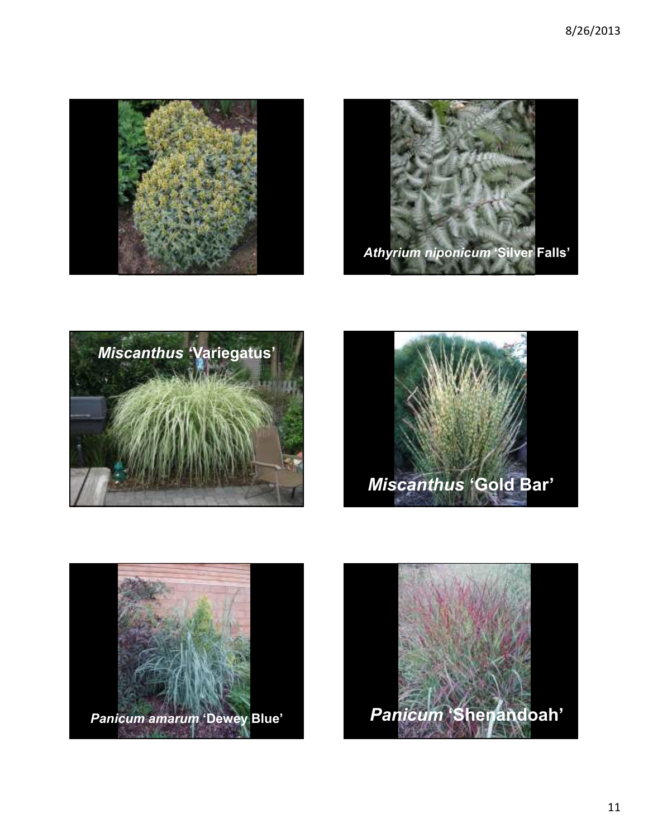